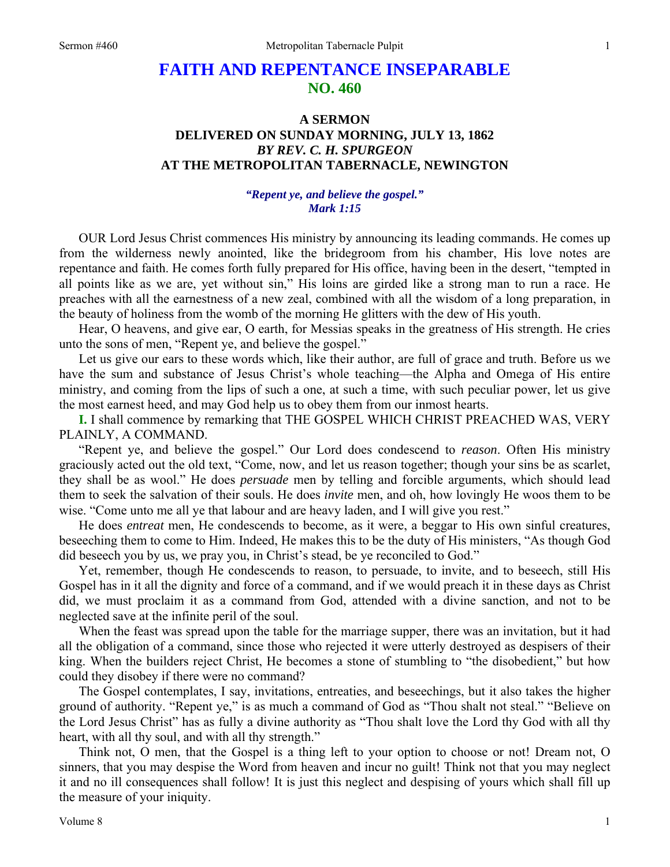## **FAITH AND REPENTANCE INSEPARABLE NO. 460**

## **A SERMON DELIVERED ON SUNDAY MORNING, JULY 13, 1862**  *BY REV. C. H. SPURGEON*  **AT THE METROPOLITAN TABERNACLE, NEWINGTON**

## *"Repent ye, and believe the gospel." Mark 1:15*

OUR Lord Jesus Christ commences His ministry by announcing its leading commands. He comes up from the wilderness newly anointed, like the bridegroom from his chamber, His love notes are repentance and faith. He comes forth fully prepared for His office, having been in the desert, "tempted in all points like as we are, yet without sin," His loins are girded like a strong man to run a race. He preaches with all the earnestness of a new zeal, combined with all the wisdom of a long preparation, in the beauty of holiness from the womb of the morning He glitters with the dew of His youth.

Hear, O heavens, and give ear, O earth, for Messias speaks in the greatness of His strength. He cries unto the sons of men, "Repent ye, and believe the gospel."

Let us give our ears to these words which, like their author, are full of grace and truth. Before us we have the sum and substance of Jesus Christ's whole teaching—the Alpha and Omega of His entire ministry, and coming from the lips of such a one, at such a time, with such peculiar power, let us give the most earnest heed, and may God help us to obey them from our inmost hearts.

**I.** I shall commence by remarking that THE GOSPEL WHICH CHRIST PREACHED WAS, VERY PLAINLY, A COMMAND.

"Repent ye, and believe the gospel." Our Lord does condescend to *reason*. Often His ministry graciously acted out the old text, "Come, now, and let us reason together; though your sins be as scarlet, they shall be as wool." He does *persuade* men by telling and forcible arguments, which should lead them to seek the salvation of their souls. He does *invite* men, and oh, how lovingly He woos them to be wise. "Come unto me all ye that labour and are heavy laden, and I will give you rest."

He does *entreat* men, He condescends to become, as it were, a beggar to His own sinful creatures, beseeching them to come to Him. Indeed, He makes this to be the duty of His ministers, "As though God did beseech you by us, we pray you, in Christ's stead, be ye reconciled to God."

Yet, remember, though He condescends to reason, to persuade, to invite, and to beseech, still His Gospel has in it all the dignity and force of a command, and if we would preach it in these days as Christ did, we must proclaim it as a command from God, attended with a divine sanction, and not to be neglected save at the infinite peril of the soul.

When the feast was spread upon the table for the marriage supper, there was an invitation, but it had all the obligation of a command, since those who rejected it were utterly destroyed as despisers of their king. When the builders reject Christ, He becomes a stone of stumbling to "the disobedient," but how could they disobey if there were no command?

The Gospel contemplates, I say, invitations, entreaties, and beseechings, but it also takes the higher ground of authority. "Repent ye," is as much a command of God as "Thou shalt not steal." "Believe on the Lord Jesus Christ" has as fully a divine authority as "Thou shalt love the Lord thy God with all thy heart, with all thy soul, and with all thy strength."

Think not, O men, that the Gospel is a thing left to your option to choose or not! Dream not, O sinners, that you may despise the Word from heaven and incur no guilt! Think not that you may neglect it and no ill consequences shall follow! It is just this neglect and despising of yours which shall fill up the measure of your iniquity.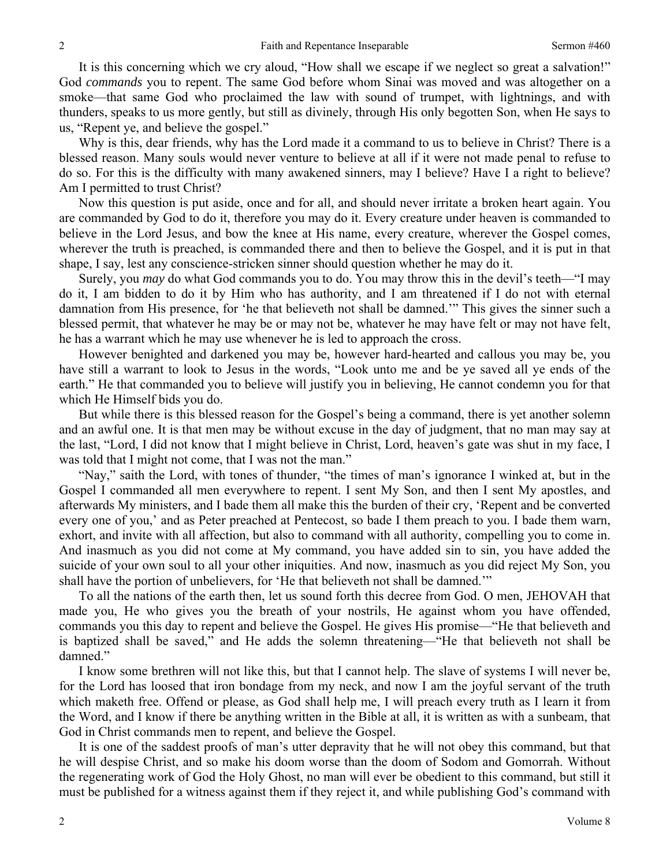It is this concerning which we cry aloud, "How shall we escape if we neglect so great a salvation!" God *commands* you to repent. The same God before whom Sinai was moved and was altogether on a smoke—that same God who proclaimed the law with sound of trumpet, with lightnings, and with thunders, speaks to us more gently, but still as divinely, through His only begotten Son, when He says to us, "Repent ye, and believe the gospel."

Why is this, dear friends, why has the Lord made it a command to us to believe in Christ? There is a blessed reason. Many souls would never venture to believe at all if it were not made penal to refuse to do so. For this is the difficulty with many awakened sinners, may I believe? Have I a right to believe? Am I permitted to trust Christ?

Now this question is put aside, once and for all, and should never irritate a broken heart again. You are commanded by God to do it, therefore you may do it. Every creature under heaven is commanded to believe in the Lord Jesus, and bow the knee at His name, every creature, wherever the Gospel comes, wherever the truth is preached, is commanded there and then to believe the Gospel, and it is put in that shape, I say, lest any conscience-stricken sinner should question whether he may do it.

Surely, you *may* do what God commands you to do. You may throw this in the devil's teeth—"I may do it, I am bidden to do it by Him who has authority, and I am threatened if I do not with eternal damnation from His presence, for 'he that believeth not shall be damned.'" This gives the sinner such a blessed permit, that whatever he may be or may not be, whatever he may have felt or may not have felt, he has a warrant which he may use whenever he is led to approach the cross.

However benighted and darkened you may be, however hard-hearted and callous you may be, you have still a warrant to look to Jesus in the words, "Look unto me and be ye saved all ye ends of the earth." He that commanded you to believe will justify you in believing, He cannot condemn you for that which He Himself bids you do.

But while there is this blessed reason for the Gospel's being a command, there is yet another solemn and an awful one. It is that men may be without excuse in the day of judgment, that no man may say at the last, "Lord, I did not know that I might believe in Christ, Lord, heaven's gate was shut in my face, I was told that I might not come, that I was not the man."

"Nay," saith the Lord, with tones of thunder, "the times of man's ignorance I winked at, but in the Gospel I commanded all men everywhere to repent. I sent My Son, and then I sent My apostles, and afterwards My ministers, and I bade them all make this the burden of their cry, 'Repent and be converted every one of you,' and as Peter preached at Pentecost, so bade I them preach to you. I bade them warn, exhort, and invite with all affection, but also to command with all authority, compelling you to come in. And inasmuch as you did not come at My command, you have added sin to sin, you have added the suicide of your own soul to all your other iniquities. And now, inasmuch as you did reject My Son, you shall have the portion of unbelievers, for 'He that believeth not shall be damned.'"

To all the nations of the earth then, let us sound forth this decree from God. O men, JEHOVAH that made you, He who gives you the breath of your nostrils, He against whom you have offended, commands you this day to repent and believe the Gospel. He gives His promise—"He that believeth and is baptized shall be saved," and He adds the solemn threatening—"He that believeth not shall be damned."

I know some brethren will not like this, but that I cannot help. The slave of systems I will never be, for the Lord has loosed that iron bondage from my neck, and now I am the joyful servant of the truth which maketh free. Offend or please, as God shall help me, I will preach every truth as I learn it from the Word, and I know if there be anything written in the Bible at all, it is written as with a sunbeam, that God in Christ commands men to repent, and believe the Gospel.

It is one of the saddest proofs of man's utter depravity that he will not obey this command, but that he will despise Christ, and so make his doom worse than the doom of Sodom and Gomorrah. Without the regenerating work of God the Holy Ghost, no man will ever be obedient to this command, but still it must be published for a witness against them if they reject it, and while publishing God's command with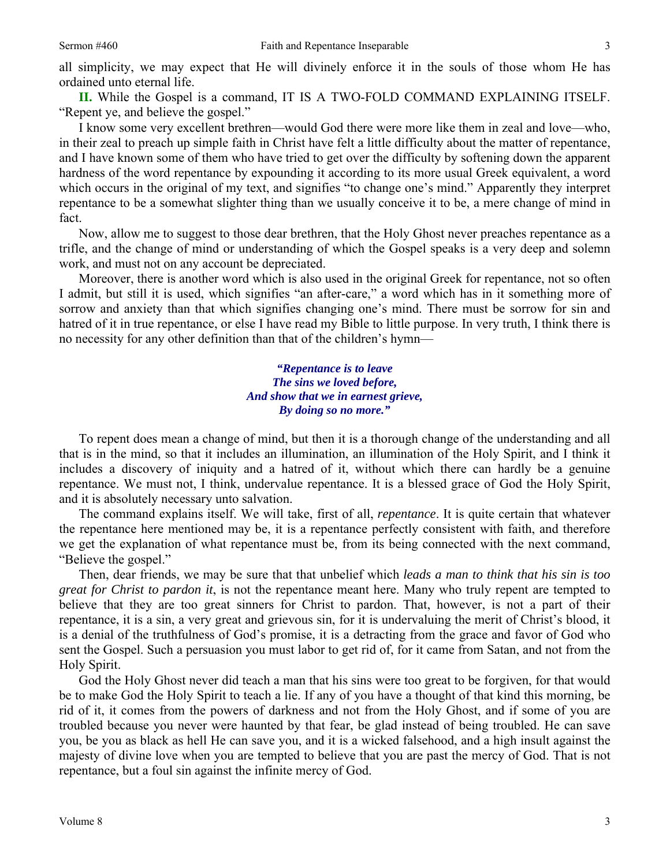**II.** While the Gospel is a command, IT IS A TWO-FOLD COMMAND EXPLAINING ITSELF. "Repent ye, and believe the gospel."

I know some very excellent brethren—would God there were more like them in zeal and love—who, in their zeal to preach up simple faith in Christ have felt a little difficulty about the matter of repentance, and I have known some of them who have tried to get over the difficulty by softening down the apparent hardness of the word repentance by expounding it according to its more usual Greek equivalent, a word which occurs in the original of my text, and signifies "to change one's mind." Apparently they interpret repentance to be a somewhat slighter thing than we usually conceive it to be, a mere change of mind in fact.

Now, allow me to suggest to those dear brethren, that the Holy Ghost never preaches repentance as a trifle, and the change of mind or understanding of which the Gospel speaks is a very deep and solemn work, and must not on any account be depreciated.

Moreover, there is another word which is also used in the original Greek for repentance, not so often I admit, but still it is used, which signifies "an after-care," a word which has in it something more of sorrow and anxiety than that which signifies changing one's mind. There must be sorrow for sin and hatred of it in true repentance, or else I have read my Bible to little purpose. In very truth, I think there is no necessity for any other definition than that of the children's hymn—

> *"Repentance is to leave The sins we loved before, And show that we in earnest grieve, By doing so no more."*

To repent does mean a change of mind, but then it is a thorough change of the understanding and all that is in the mind, so that it includes an illumination, an illumination of the Holy Spirit, and I think it includes a discovery of iniquity and a hatred of it, without which there can hardly be a genuine repentance. We must not, I think, undervalue repentance. It is a blessed grace of God the Holy Spirit, and it is absolutely necessary unto salvation.

The command explains itself. We will take, first of all, *repentance*. It is quite certain that whatever the repentance here mentioned may be, it is a repentance perfectly consistent with faith, and therefore we get the explanation of what repentance must be, from its being connected with the next command, "Believe the gospel."

Then, dear friends, we may be sure that that unbelief which *leads a man to think that his sin is too great for Christ to pardon it*, is not the repentance meant here. Many who truly repent are tempted to believe that they are too great sinners for Christ to pardon. That, however, is not a part of their repentance, it is a sin, a very great and grievous sin, for it is undervaluing the merit of Christ's blood, it is a denial of the truthfulness of God's promise, it is a detracting from the grace and favor of God who sent the Gospel. Such a persuasion you must labor to get rid of, for it came from Satan, and not from the Holy Spirit.

God the Holy Ghost never did teach a man that his sins were too great to be forgiven, for that would be to make God the Holy Spirit to teach a lie. If any of you have a thought of that kind this morning, be rid of it, it comes from the powers of darkness and not from the Holy Ghost, and if some of you are troubled because you never were haunted by that fear, be glad instead of being troubled. He can save you, be you as black as hell He can save you, and it is a wicked falsehood, and a high insult against the majesty of divine love when you are tempted to believe that you are past the mercy of God. That is not repentance, but a foul sin against the infinite mercy of God.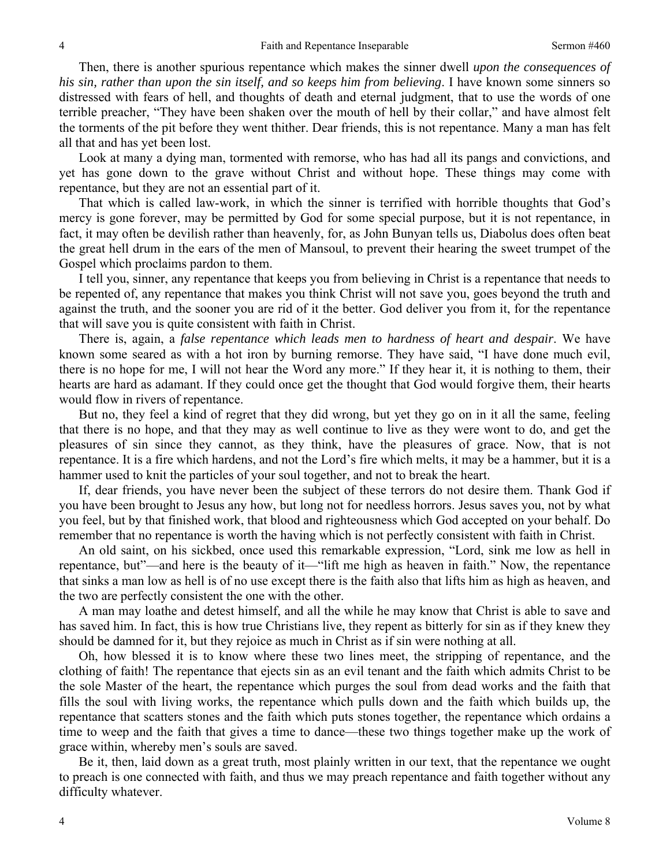Then, there is another spurious repentance which makes the sinner dwell *upon the consequences of his sin, rather than upon the sin itself, and so keeps him from believing*. I have known some sinners so distressed with fears of hell, and thoughts of death and eternal judgment, that to use the words of one terrible preacher, "They have been shaken over the mouth of hell by their collar," and have almost felt the torments of the pit before they went thither. Dear friends, this is not repentance. Many a man has felt all that and has yet been lost.

Look at many a dying man, tormented with remorse, who has had all its pangs and convictions, and yet has gone down to the grave without Christ and without hope. These things may come with repentance, but they are not an essential part of it.

That which is called law-work, in which the sinner is terrified with horrible thoughts that God's mercy is gone forever, may be permitted by God for some special purpose, but it is not repentance, in fact, it may often be devilish rather than heavenly, for, as John Bunyan tells us, Diabolus does often beat the great hell drum in the ears of the men of Mansoul, to prevent their hearing the sweet trumpet of the Gospel which proclaims pardon to them.

I tell you, sinner, any repentance that keeps you from believing in Christ is a repentance that needs to be repented of, any repentance that makes you think Christ will not save you, goes beyond the truth and against the truth, and the sooner you are rid of it the better. God deliver you from it, for the repentance that will save you is quite consistent with faith in Christ.

There is, again, a *false repentance which leads men to hardness of heart and despair*. We have known some seared as with a hot iron by burning remorse. They have said, "I have done much evil, there is no hope for me, I will not hear the Word any more." If they hear it, it is nothing to them, their hearts are hard as adamant. If they could once get the thought that God would forgive them, their hearts would flow in rivers of repentance.

But no, they feel a kind of regret that they did wrong, but yet they go on in it all the same, feeling that there is no hope, and that they may as well continue to live as they were wont to do, and get the pleasures of sin since they cannot, as they think, have the pleasures of grace. Now, that is not repentance. It is a fire which hardens, and not the Lord's fire which melts, it may be a hammer, but it is a hammer used to knit the particles of your soul together, and not to break the heart.

If, dear friends, you have never been the subject of these terrors do not desire them. Thank God if you have been brought to Jesus any how, but long not for needless horrors. Jesus saves you, not by what you feel, but by that finished work, that blood and righteousness which God accepted on your behalf. Do remember that no repentance is worth the having which is not perfectly consistent with faith in Christ.

An old saint, on his sickbed, once used this remarkable expression, "Lord, sink me low as hell in repentance, but"—and here is the beauty of it—"lift me high as heaven in faith." Now, the repentance that sinks a man low as hell is of no use except there is the faith also that lifts him as high as heaven, and the two are perfectly consistent the one with the other.

A man may loathe and detest himself, and all the while he may know that Christ is able to save and has saved him. In fact, this is how true Christians live, they repent as bitterly for sin as if they knew they should be damned for it, but they rejoice as much in Christ as if sin were nothing at all.

Oh, how blessed it is to know where these two lines meet, the stripping of repentance, and the clothing of faith! The repentance that ejects sin as an evil tenant and the faith which admits Christ to be the sole Master of the heart, the repentance which purges the soul from dead works and the faith that fills the soul with living works, the repentance which pulls down and the faith which builds up, the repentance that scatters stones and the faith which puts stones together, the repentance which ordains a time to weep and the faith that gives a time to dance—these two things together make up the work of grace within, whereby men's souls are saved.

Be it, then, laid down as a great truth, most plainly written in our text, that the repentance we ought to preach is one connected with faith, and thus we may preach repentance and faith together without any difficulty whatever.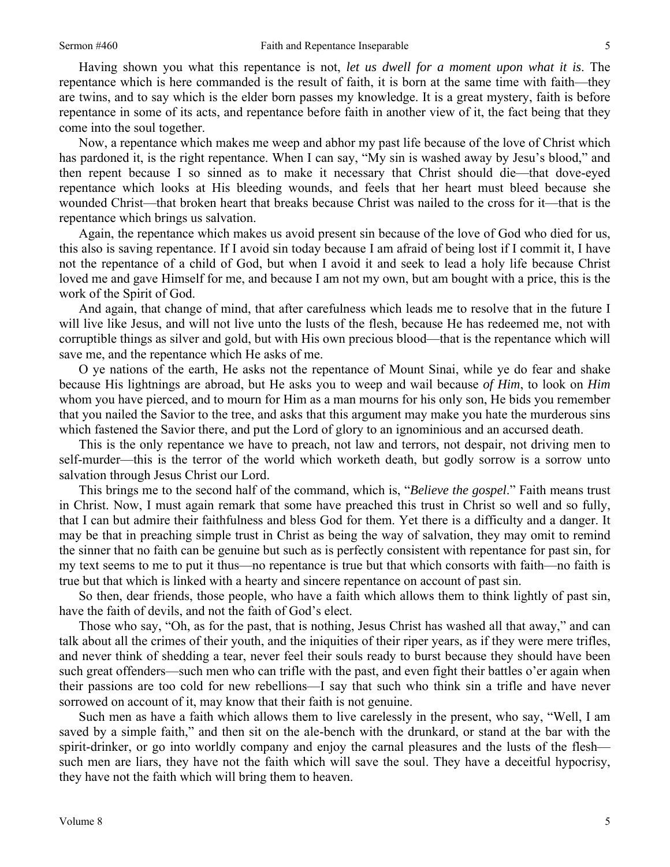Having shown you what this repentance is not, *let us dwell for a moment upon what it is*. The repentance which is here commanded is the result of faith, it is born at the same time with faith—they are twins, and to say which is the elder born passes my knowledge. It is a great mystery, faith is before repentance in some of its acts, and repentance before faith in another view of it, the fact being that they come into the soul together.

Now, a repentance which makes me weep and abhor my past life because of the love of Christ which has pardoned it, is the right repentance. When I can say, "My sin is washed away by Jesu's blood," and then repent because I so sinned as to make it necessary that Christ should die—that dove-eyed repentance which looks at His bleeding wounds, and feels that her heart must bleed because she wounded Christ—that broken heart that breaks because Christ was nailed to the cross for it—that is the repentance which brings us salvation.

Again, the repentance which makes us avoid present sin because of the love of God who died for us, this also is saving repentance. If I avoid sin today because I am afraid of being lost if I commit it, I have not the repentance of a child of God, but when I avoid it and seek to lead a holy life because Christ loved me and gave Himself for me, and because I am not my own, but am bought with a price, this is the work of the Spirit of God.

And again, that change of mind, that after carefulness which leads me to resolve that in the future I will live like Jesus, and will not live unto the lusts of the flesh, because He has redeemed me, not with corruptible things as silver and gold, but with His own precious blood—that is the repentance which will save me, and the repentance which He asks of me.

O ye nations of the earth, He asks not the repentance of Mount Sinai, while ye do fear and shake because His lightnings are abroad, but He asks you to weep and wail because *of Him*, to look on *Him*  whom you have pierced, and to mourn for Him as a man mourns for his only son, He bids you remember that you nailed the Savior to the tree, and asks that this argument may make you hate the murderous sins which fastened the Savior there, and put the Lord of glory to an ignominious and an accursed death.

This is the only repentance we have to preach, not law and terrors, not despair, not driving men to self-murder—this is the terror of the world which worketh death, but godly sorrow is a sorrow unto salvation through Jesus Christ our Lord.

This brings me to the second half of the command, which is, "*Believe the gospel*." Faith means trust in Christ. Now, I must again remark that some have preached this trust in Christ so well and so fully, that I can but admire their faithfulness and bless God for them. Yet there is a difficulty and a danger. It may be that in preaching simple trust in Christ as being the way of salvation, they may omit to remind the sinner that no faith can be genuine but such as is perfectly consistent with repentance for past sin, for my text seems to me to put it thus—no repentance is true but that which consorts with faith—no faith is true but that which is linked with a hearty and sincere repentance on account of past sin.

So then, dear friends, those people, who have a faith which allows them to think lightly of past sin, have the faith of devils, and not the faith of God's elect.

Those who say, "Oh, as for the past, that is nothing, Jesus Christ has washed all that away," and can talk about all the crimes of their youth, and the iniquities of their riper years, as if they were mere trifles, and never think of shedding a tear, never feel their souls ready to burst because they should have been such great offenders—such men who can trifle with the past, and even fight their battles o'er again when their passions are too cold for new rebellions—I say that such who think sin a trifle and have never sorrowed on account of it, may know that their faith is not genuine.

Such men as have a faith which allows them to live carelessly in the present, who say, "Well, I am saved by a simple faith," and then sit on the ale-bench with the drunkard, or stand at the bar with the spirit-drinker, or go into worldly company and enjoy the carnal pleasures and the lusts of the flesh such men are liars, they have not the faith which will save the soul. They have a deceitful hypocrisy, they have not the faith which will bring them to heaven.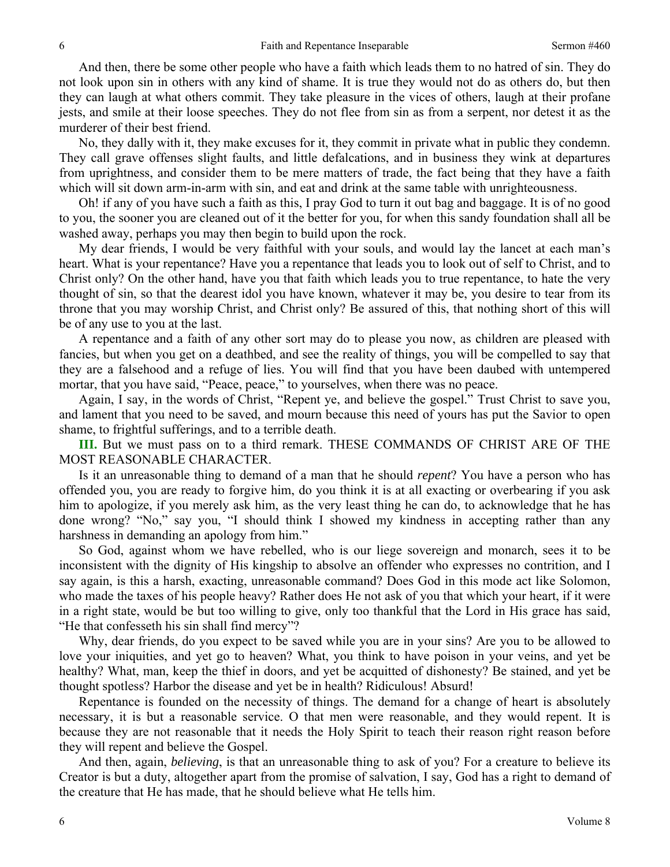And then, there be some other people who have a faith which leads them to no hatred of sin. They do not look upon sin in others with any kind of shame. It is true they would not do as others do, but then they can laugh at what others commit. They take pleasure in the vices of others, laugh at their profane jests, and smile at their loose speeches. They do not flee from sin as from a serpent, nor detest it as the murderer of their best friend.

No, they dally with it, they make excuses for it, they commit in private what in public they condemn. They call grave offenses slight faults, and little defalcations, and in business they wink at departures from uprightness, and consider them to be mere matters of trade, the fact being that they have a faith which will sit down arm-in-arm with sin, and eat and drink at the same table with unrighteousness.

Oh! if any of you have such a faith as this, I pray God to turn it out bag and baggage. It is of no good to you, the sooner you are cleaned out of it the better for you, for when this sandy foundation shall all be washed away, perhaps you may then begin to build upon the rock.

My dear friends, I would be very faithful with your souls, and would lay the lancet at each man's heart. What is your repentance? Have you a repentance that leads you to look out of self to Christ, and to Christ only? On the other hand, have you that faith which leads you to true repentance, to hate the very thought of sin, so that the dearest idol you have known, whatever it may be, you desire to tear from its throne that you may worship Christ, and Christ only? Be assured of this, that nothing short of this will be of any use to you at the last.

A repentance and a faith of any other sort may do to please you now, as children are pleased with fancies, but when you get on a deathbed, and see the reality of things, you will be compelled to say that they are a falsehood and a refuge of lies. You will find that you have been daubed with untempered mortar, that you have said, "Peace, peace," to yourselves, when there was no peace.

Again, I say, in the words of Christ, "Repent ye, and believe the gospel." Trust Christ to save you, and lament that you need to be saved, and mourn because this need of yours has put the Savior to open shame, to frightful sufferings, and to a terrible death.

**III.** But we must pass on to a third remark. THESE COMMANDS OF CHRIST ARE OF THE MOST REASONABLE CHARACTER.

Is it an unreasonable thing to demand of a man that he should *repent*? You have a person who has offended you, you are ready to forgive him, do you think it is at all exacting or overbearing if you ask him to apologize, if you merely ask him, as the very least thing he can do, to acknowledge that he has done wrong? "No," say you, "I should think I showed my kindness in accepting rather than any harshness in demanding an apology from him."

So God, against whom we have rebelled, who is our liege sovereign and monarch, sees it to be inconsistent with the dignity of His kingship to absolve an offender who expresses no contrition, and I say again, is this a harsh, exacting, unreasonable command? Does God in this mode act like Solomon, who made the taxes of his people heavy? Rather does He not ask of you that which your heart, if it were in a right state, would be but too willing to give, only too thankful that the Lord in His grace has said, "He that confesseth his sin shall find mercy"?

Why, dear friends, do you expect to be saved while you are in your sins? Are you to be allowed to love your iniquities, and yet go to heaven? What, you think to have poison in your veins, and yet be healthy? What, man, keep the thief in doors, and yet be acquitted of dishonesty? Be stained, and yet be thought spotless? Harbor the disease and yet be in health? Ridiculous! Absurd!

Repentance is founded on the necessity of things. The demand for a change of heart is absolutely necessary, it is but a reasonable service. O that men were reasonable, and they would repent. It is because they are not reasonable that it needs the Holy Spirit to teach their reason right reason before they will repent and believe the Gospel.

And then, again, *believing*, is that an unreasonable thing to ask of you? For a creature to believe its Creator is but a duty, altogether apart from the promise of salvation, I say, God has a right to demand of the creature that He has made, that he should believe what He tells him.

6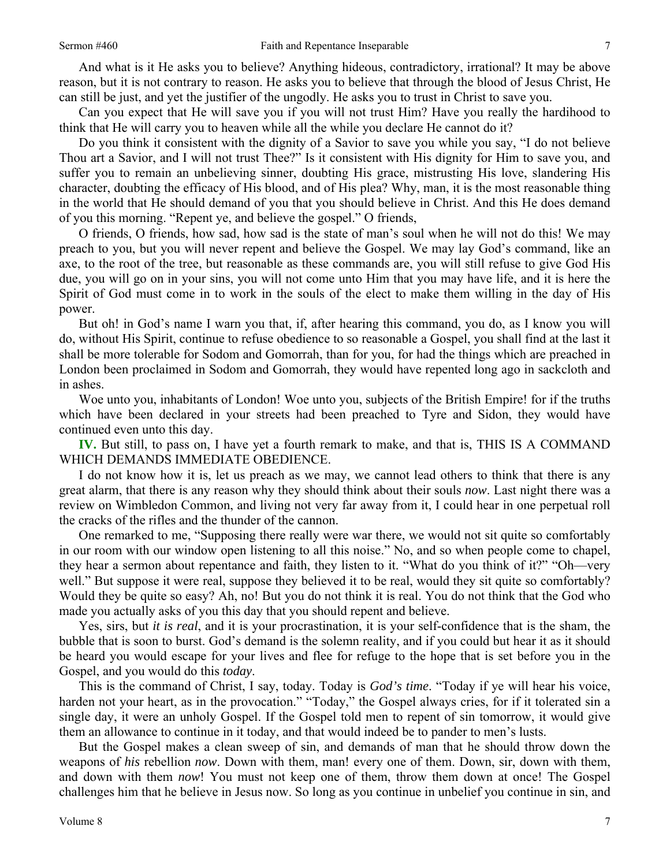And what is it He asks you to believe? Anything hideous, contradictory, irrational? It may be above reason, but it is not contrary to reason. He asks you to believe that through the blood of Jesus Christ, He can still be just, and yet the justifier of the ungodly. He asks you to trust in Christ to save you.

Can you expect that He will save you if you will not trust Him? Have you really the hardihood to think that He will carry you to heaven while all the while you declare He cannot do it?

Do you think it consistent with the dignity of a Savior to save you while you say, "I do not believe Thou art a Savior, and I will not trust Thee?" Is it consistent with His dignity for Him to save you, and suffer you to remain an unbelieving sinner, doubting His grace, mistrusting His love, slandering His character, doubting the efficacy of His blood, and of His plea? Why, man, it is the most reasonable thing in the world that He should demand of you that you should believe in Christ. And this He does demand of you this morning. "Repent ye, and believe the gospel." O friends,

O friends, O friends, how sad, how sad is the state of man's soul when he will not do this! We may preach to you, but you will never repent and believe the Gospel. We may lay God's command, like an axe, to the root of the tree, but reasonable as these commands are, you will still refuse to give God His due, you will go on in your sins, you will not come unto Him that you may have life, and it is here the Spirit of God must come in to work in the souls of the elect to make them willing in the day of His power.

But oh! in God's name I warn you that, if, after hearing this command, you do, as I know you will do, without His Spirit, continue to refuse obedience to so reasonable a Gospel, you shall find at the last it shall be more tolerable for Sodom and Gomorrah, than for you, for had the things which are preached in London been proclaimed in Sodom and Gomorrah, they would have repented long ago in sackcloth and in ashes.

Woe unto you, inhabitants of London! Woe unto you, subjects of the British Empire! for if the truths which have been declared in your streets had been preached to Tyre and Sidon, they would have continued even unto this day.

**IV.** But still, to pass on, I have yet a fourth remark to make, and that is, THIS IS A COMMAND WHICH DEMANDS IMMEDIATE OBEDIENCE.

I do not know how it is, let us preach as we may, we cannot lead others to think that there is any great alarm, that there is any reason why they should think about their souls *now*. Last night there was a review on Wimbledon Common, and living not very far away from it, I could hear in one perpetual roll the cracks of the rifles and the thunder of the cannon.

One remarked to me, "Supposing there really were war there, we would not sit quite so comfortably in our room with our window open listening to all this noise." No, and so when people come to chapel, they hear a sermon about repentance and faith, they listen to it. "What do you think of it?" "Oh—very well." But suppose it were real, suppose they believed it to be real, would they sit quite so comfortably? Would they be quite so easy? Ah, no! But you do not think it is real. You do not think that the God who made you actually asks of you this day that you should repent and believe.

Yes, sirs, but *it is real*, and it is your procrastination, it is your self-confidence that is the sham, the bubble that is soon to burst. God's demand is the solemn reality, and if you could but hear it as it should be heard you would escape for your lives and flee for refuge to the hope that is set before you in the Gospel, and you would do this *today*.

This is the command of Christ, I say, today. Today is *God's time*. "Today if ye will hear his voice, harden not your heart, as in the provocation." "Today," the Gospel always cries, for if it tolerated sin a single day, it were an unholy Gospel. If the Gospel told men to repent of sin tomorrow, it would give them an allowance to continue in it today, and that would indeed be to pander to men's lusts.

But the Gospel makes a clean sweep of sin, and demands of man that he should throw down the weapons of *his* rebellion *now*. Down with them, man! every one of them. Down, sir, down with them, and down with them *now*! You must not keep one of them, throw them down at once! The Gospel challenges him that he believe in Jesus now. So long as you continue in unbelief you continue in sin, and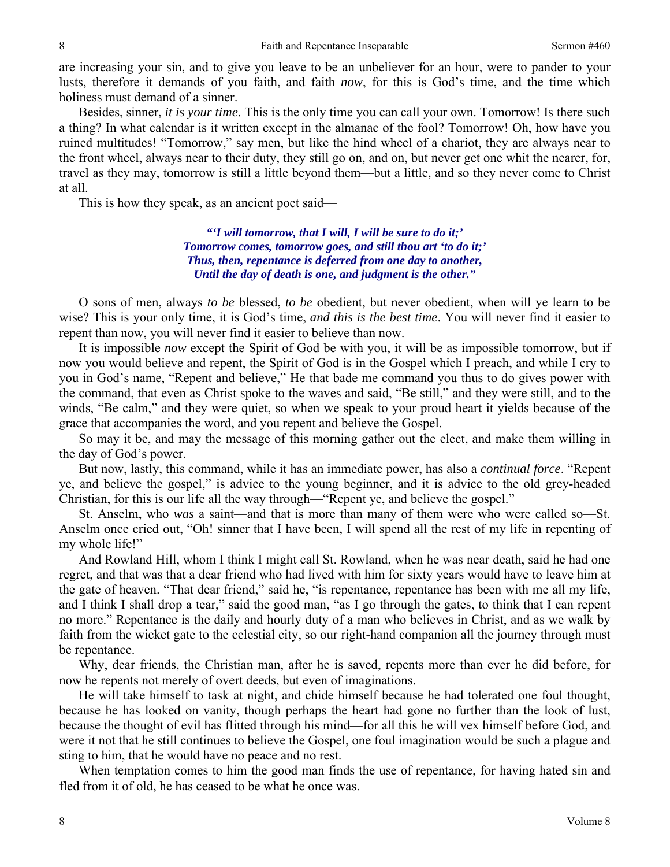are increasing your sin, and to give you leave to be an unbeliever for an hour, were to pander to your lusts, therefore it demands of you faith, and faith *now*, for this is God's time, and the time which holiness must demand of a sinner.

Besides, sinner, *it is your time*. This is the only time you can call your own. Tomorrow! Is there such a thing? In what calendar is it written except in the almanac of the fool? Tomorrow! Oh, how have you ruined multitudes! "Tomorrow," say men, but like the hind wheel of a chariot, they are always near to the front wheel, always near to their duty, they still go on, and on, but never get one whit the nearer, for, travel as they may, tomorrow is still a little beyond them—but a little, and so they never come to Christ at all.

This is how they speak, as an ancient poet said—

*"'I will tomorrow, that I will, I will be sure to do it;' Tomorrow comes, tomorrow goes, and still thou art 'to do it;' Thus, then, repentance is deferred from one day to another, Until the day of death is one, and judgment is the other."* 

O sons of men, always *to be* blessed, *to be* obedient, but never obedient, when will ye learn to be wise? This is your only time, it is God's time, *and this is the best time*. You will never find it easier to repent than now, you will never find it easier to believe than now.

It is impossible *now* except the Spirit of God be with you, it will be as impossible tomorrow, but if now you would believe and repent, the Spirit of God is in the Gospel which I preach, and while I cry to you in God's name, "Repent and believe," He that bade me command you thus to do gives power with the command, that even as Christ spoke to the waves and said, "Be still," and they were still, and to the winds, "Be calm," and they were quiet, so when we speak to your proud heart it yields because of the grace that accompanies the word, and you repent and believe the Gospel.

So may it be, and may the message of this morning gather out the elect, and make them willing in the day of God's power.

But now, lastly, this command, while it has an immediate power, has also a *continual force*. "Repent ye, and believe the gospel," is advice to the young beginner, and it is advice to the old grey-headed Christian, for this is our life all the way through—"Repent ye, and believe the gospel."

St. Anselm, who *was* a saint—and that is more than many of them were who were called so—St. Anselm once cried out, "Oh! sinner that I have been, I will spend all the rest of my life in repenting of my whole life!"

And Rowland Hill, whom I think I might call St. Rowland, when he was near death, said he had one regret, and that was that a dear friend who had lived with him for sixty years would have to leave him at the gate of heaven. "That dear friend," said he, "is repentance, repentance has been with me all my life, and I think I shall drop a tear," said the good man, "as I go through the gates, to think that I can repent no more." Repentance is the daily and hourly duty of a man who believes in Christ, and as we walk by faith from the wicket gate to the celestial city, so our right-hand companion all the journey through must be repentance.

Why, dear friends, the Christian man, after he is saved, repents more than ever he did before, for now he repents not merely of overt deeds, but even of imaginations.

He will take himself to task at night, and chide himself because he had tolerated one foul thought, because he has looked on vanity, though perhaps the heart had gone no further than the look of lust, because the thought of evil has flitted through his mind—for all this he will vex himself before God, and were it not that he still continues to believe the Gospel, one foul imagination would be such a plague and sting to him, that he would have no peace and no rest.

When temptation comes to him the good man finds the use of repentance, for having hated sin and fled from it of old, he has ceased to be what he once was.

8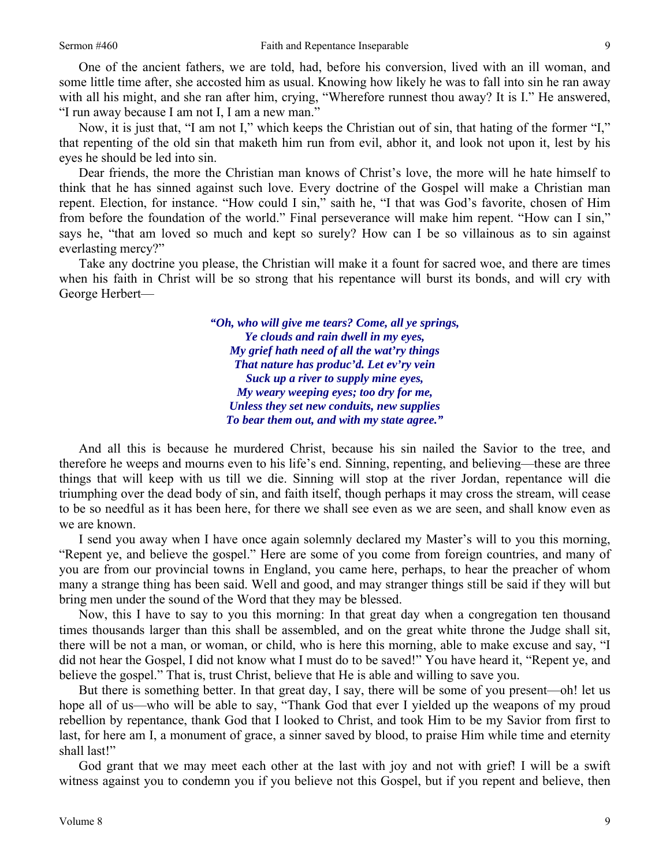One of the ancient fathers, we are told, had, before his conversion, lived with an ill woman, and some little time after, she accosted him as usual. Knowing how likely he was to fall into sin he ran away with all his might, and she ran after him, crying, "Wherefore runnest thou away? It is I." He answered, "I run away because I am not I, I am a new man."

Now, it is just that, "I am not I," which keeps the Christian out of sin, that hating of the former "I," that repenting of the old sin that maketh him run from evil, abhor it, and look not upon it, lest by his eyes he should be led into sin.

Dear friends, the more the Christian man knows of Christ's love, the more will he hate himself to think that he has sinned against such love. Every doctrine of the Gospel will make a Christian man repent. Election, for instance. "How could I sin," saith he, "I that was God's favorite, chosen of Him from before the foundation of the world." Final perseverance will make him repent. "How can I sin," says he, "that am loved so much and kept so surely? How can I be so villainous as to sin against everlasting mercy?"

Take any doctrine you please, the Christian will make it a fount for sacred woe, and there are times when his faith in Christ will be so strong that his repentance will burst its bonds, and will cry with George Herbert—

> *"Oh, who will give me tears? Come, all ye springs, Ye clouds and rain dwell in my eyes, My grief hath need of all the wat'ry things That nature has produc'd. Let ev'ry vein Suck up a river to supply mine eyes, My weary weeping eyes; too dry for me, Unless they set new conduits, new supplies To bear them out, and with my state agree."*

And all this is because he murdered Christ, because his sin nailed the Savior to the tree, and therefore he weeps and mourns even to his life's end. Sinning, repenting, and believing—these are three things that will keep with us till we die. Sinning will stop at the river Jordan, repentance will die triumphing over the dead body of sin, and faith itself, though perhaps it may cross the stream, will cease to be so needful as it has been here, for there we shall see even as we are seen, and shall know even as we are known.

I send you away when I have once again solemnly declared my Master's will to you this morning, "Repent ye, and believe the gospel." Here are some of you come from foreign countries, and many of you are from our provincial towns in England, you came here, perhaps, to hear the preacher of whom many a strange thing has been said. Well and good, and may stranger things still be said if they will but bring men under the sound of the Word that they may be blessed.

Now, this I have to say to you this morning: In that great day when a congregation ten thousand times thousands larger than this shall be assembled, and on the great white throne the Judge shall sit, there will be not a man, or woman, or child, who is here this morning, able to make excuse and say, "I did not hear the Gospel, I did not know what I must do to be saved!" You have heard it, "Repent ye, and believe the gospel." That is, trust Christ, believe that He is able and willing to save you.

But there is something better. In that great day, I say, there will be some of you present—oh! let us hope all of us—who will be able to say, "Thank God that ever I yielded up the weapons of my proud rebellion by repentance, thank God that I looked to Christ, and took Him to be my Savior from first to last, for here am I, a monument of grace, a sinner saved by blood, to praise Him while time and eternity shall last!"

God grant that we may meet each other at the last with joy and not with grief! I will be a swift witness against you to condemn you if you believe not this Gospel, but if you repent and believe, then